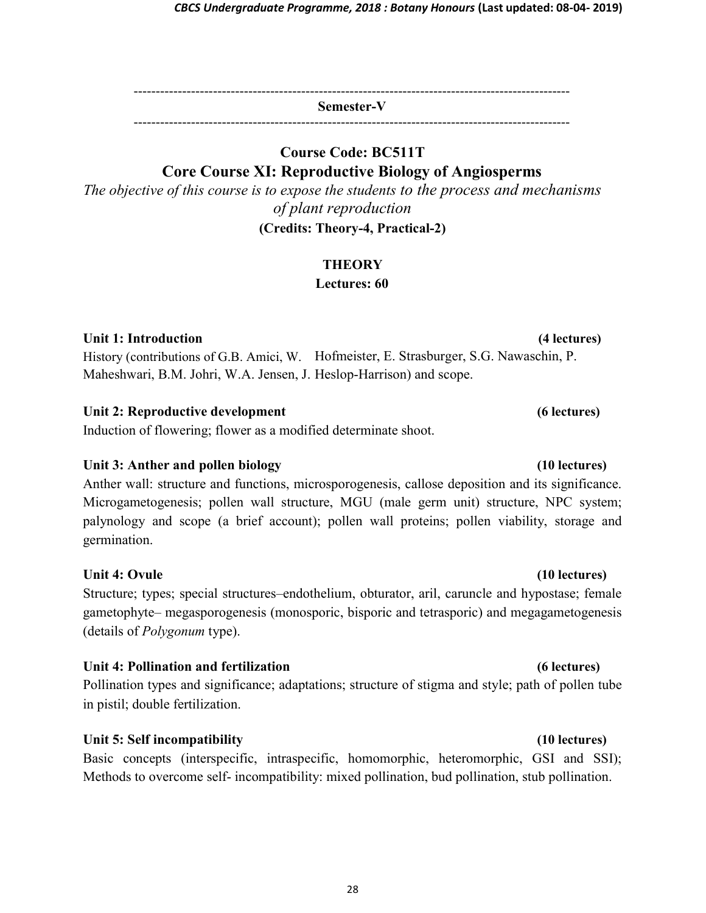--------------------------------------------------------------------------------------------------- Semester-V

---------------------------------------------------------------------------------------------------

## Course Code: BC511T Core Course XI: Reproductive Biology of Angiosperms

The objective of this course is to expose the students to the process and mechanisms of plant reproduction (Credits: Theory-4, Practical-2)

### **THEORY**

Lectures: 60

### Unit 1: Introduction

History (contributions of G.B. Amici, W. Hofmeister, E. Strasburger, S.G. Nawaschin, P. Maheshwari, B.M. Johri, W.A. Jensen, J. Heslop-Harrison) and scope.

#### Unit 2: Reproductive development (6 lectures)

Induction of flowering; flower as a modified determinate shoot.

### Unit 3: Anther and pollen biology (10 lectures)

Anther wall: structure and functions, microsporogenesis, callose deposition and its significance. Microgametogenesis; pollen wall structure, MGU (male germ unit) structure, NPC system; palynology and scope (a brief account); pollen wall proteins; pollen viability, storage and germination.

### Unit 4: Ovule (10 lectures) (10 lectures)

Structure; types; special structures–endothelium, obturator, aril, caruncle and hypostase; female gametophyte– megasporogenesis (monosporic, bisporic and tetrasporic) and megagametogenesis (details of Polygonum type).

### Unit 4: Pollination and fertilization (6 lectures)

Pollination types and significance; adaptations; structure of stigma and style; path of pollen tube in pistil; double fertilization.

### Unit 5: Self incompatibility (10 lectures)

Basic concepts (interspecific, intraspecific, homomorphic, heteromorphic, GSI and SSI); Methods to overcome self- incompatibility: mixed pollination, bud pollination, stub pollination.

(4 lectures)

#### 28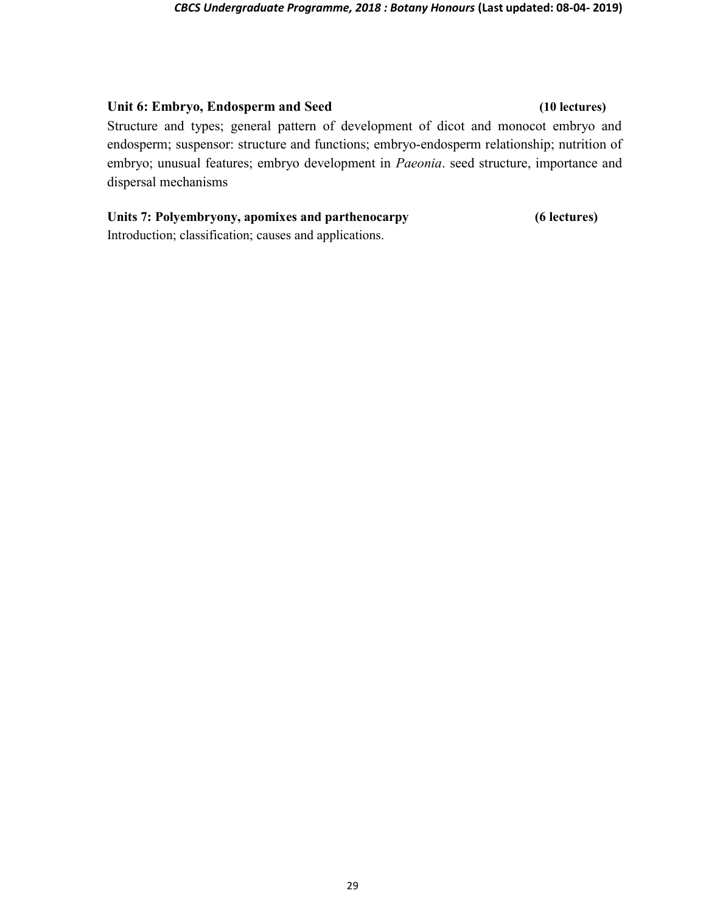#### Unit 6: Embryo, Endosperm and Seed (10 lectures)

Structure and types; general pattern of development of dicot and monocot embryo and endosperm; suspensor: structure and functions; embryo-endosperm relationship; nutrition of embryo; unusual features; embryo development in Paeonia. seed structure, importance and dispersal mechanisms

# Units 7: Polyembryony, apomixes and parthenocarpy

(6 lectures)

Introduction; classification; causes and applications.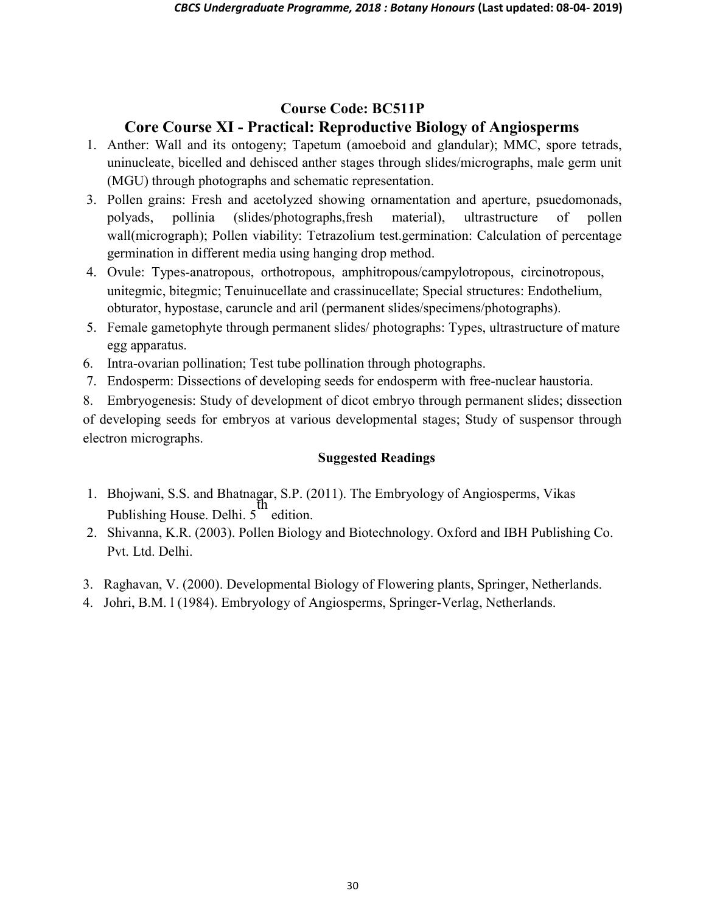## Course Code: BC511P Core Course XI - Practical: Reproductive Biology of Angiosperms

- 1. Anther: Wall and its ontogeny; Tapetum (amoeboid and glandular); MMC, spore tetrads, uninucleate, bicelled and dehisced anther stages through slides/micrographs, male germ unit (MGU) through photographs and schematic representation.
- 3. Pollen grains: Fresh and acetolyzed showing ornamentation and aperture, psuedomonads, polyads, pollinia (slides/photographs,fresh material), ultrastructure of pollen wall(micrograph); Pollen viability: Tetrazolium test.germination: Calculation of percentage germination in different media using hanging drop method.
- 4. Ovule: Types-anatropous, orthotropous, amphitropous/campylotropous, circinotropous, unitegmic, bitegmic; Tenuinucellate and crassinucellate; Special structures: Endothelium, obturator, hypostase, caruncle and aril (permanent slides/specimens/photographs).
- 5. Female gametophyte through permanent slides/ photographs: Types, ultrastructure of mature egg apparatus.
- 6. Intra-ovarian pollination; Test tube pollination through photographs.
- 7. Endosperm: Dissections of developing seeds for endosperm with free-nuclear haustoria.

8. Embryogenesis: Study of development of dicot embryo through permanent slides; dissection of developing seeds for embryos at various developmental stages; Study of suspensor through electron micrographs.

#### Suggested Readings

- 1. Bhojwani, S.S. and Bhatnagar, S.P. (2011). The Embryology of Angiosperms, Vikas Publishing House. Delhi. 5 th edition.
- 2. Shivanna, K.R. (2003). Pollen Biology and Biotechnology. Oxford and IBH Publishing Co. Pvt. Ltd. Delhi.
- 3. Raghavan, V. (2000). Developmental Biology of Flowering plants, Springer, Netherlands.
- 4. Johri, B.M. l (1984). Embryology of Angiosperms, Springer-Verlag, Netherlands.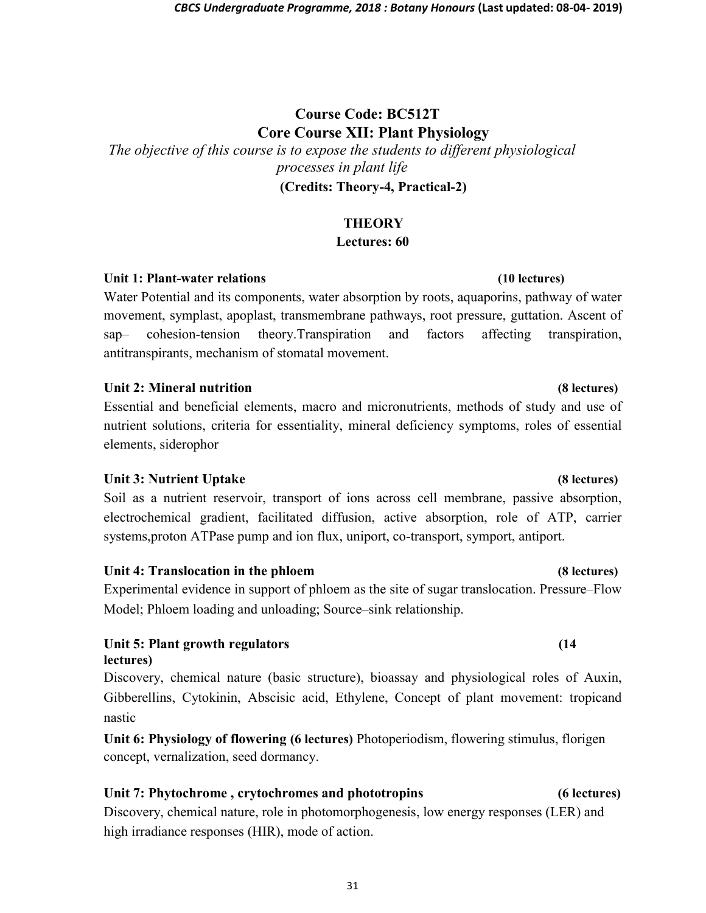# Course Code: BC512T Core Course XII: Plant Physiology

The objective of this course is to expose the students to different physiological processes in plant life (Credits: Theory-4, Practical-2)

## **THEORY**

### Lectures: 60

### Unit 1: Plant-water relations (10 lectures)

Water Potential and its components, water absorption by roots, aquaporins, pathway of water movement, symplast, apoplast, transmembrane pathways, root pressure, guttation. Ascent of sap– cohesion-tension theory.Transpiration and factors affecting transpiration, antitranspirants, mechanism of stomatal movement.

### Unit 2: Mineral nutrition (8 lectures)

Essential and beneficial elements, macro and micronutrients, methods of study and use of nutrient solutions, criteria for essentiality, mineral deficiency symptoms, roles of essential elements, siderophor

### Unit 3: Nutrient Uptake (8 lectures)

Soil as a nutrient reservoir, transport of ions across cell membrane, passive absorption, electrochemical gradient, facilitated diffusion, active absorption, role of ATP, carrier systems,proton ATPase pump and ion flux, uniport, co-transport, symport, antiport.

### Unit 4: Translocation in the phloem (8 lectures)

Experimental evidence in support of phloem as the site of sugar translocation. Pressure–Flow Model; Phloem loading and unloading; Source–sink relationship.

### Unit 5: Plant growth regulators (14 lectures)

Discovery, chemical nature (basic structure), bioassay and physiological roles of Auxin, Gibberellins, Cytokinin, Abscisic acid, Ethylene, Concept of plant movement: tropicand nastic

Unit 6: Physiology of flowering (6 lectures) Photoperiodism, flowering stimulus, florigen concept, vernalization, seed dormancy.

## Unit 7: Phytochrome , crytochromes and phototropins (6 lectures)

Discovery, chemical nature, role in photomorphogenesis, low energy responses (LER) and high irradiance responses (HIR), mode of action.